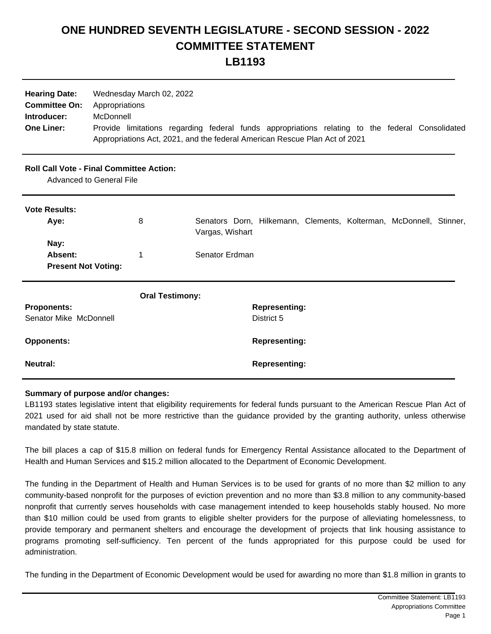## **ONE HUNDRED SEVENTH LEGISLATURE - SECOND SESSION - 2022 COMMITTEE STATEMENT LB1193**

| <b>Hearing Date:</b><br><b>Committee On:</b><br>Introducer:<br><b>One Liner:</b> | Wednesday March 02, 2022<br>Appropriations<br>McDonnell<br>Provide limitations regarding federal funds appropriations relating to the federal Consolidated<br>Appropriations Act, 2021, and the federal American Rescue Plan Act of 2021 |                                                                                       |
|----------------------------------------------------------------------------------|------------------------------------------------------------------------------------------------------------------------------------------------------------------------------------------------------------------------------------------|---------------------------------------------------------------------------------------|
|                                                                                  | <b>Roll Call Vote - Final Committee Action:</b><br>Advanced to General File                                                                                                                                                              |                                                                                       |
| <b>Vote Results:</b>                                                             |                                                                                                                                                                                                                                          |                                                                                       |
| Aye:                                                                             | 8                                                                                                                                                                                                                                        | Senators Dorn, Hilkemann, Clements, Kolterman, McDonnell, Stinner,<br>Vargas, Wishart |
| Nay:<br>Absent:                                                                  | 1                                                                                                                                                                                                                                        | Senator Erdman                                                                        |
| <b>Present Not Voting:</b>                                                       |                                                                                                                                                                                                                                          |                                                                                       |
|                                                                                  | <b>Oral Testimony:</b>                                                                                                                                                                                                                   |                                                                                       |
| <b>Proponents:</b>                                                               |                                                                                                                                                                                                                                          | <b>Representing:</b>                                                                  |
| Senator Mike McDonnell                                                           |                                                                                                                                                                                                                                          | District 5                                                                            |
| <b>Opponents:</b>                                                                |                                                                                                                                                                                                                                          | <b>Representing:</b>                                                                  |
| <b>Neutral:</b>                                                                  |                                                                                                                                                                                                                                          | <b>Representing:</b>                                                                  |

## **Summary of purpose and/or changes:**

LB1193 states legislative intent that eligibility requirements for federal funds pursuant to the American Rescue Plan Act of 2021 used for aid shall not be more restrictive than the guidance provided by the granting authority, unless otherwise mandated by state statute.

The bill places a cap of \$15.8 million on federal funds for Emergency Rental Assistance allocated to the Department of Health and Human Services and \$15.2 million allocated to the Department of Economic Development.

The funding in the Department of Health and Human Services is to be used for grants of no more than \$2 million to any community-based nonprofit for the purposes of eviction prevention and no more than \$3.8 million to any community-based nonprofit that currently serves households with case management intended to keep households stably housed. No more than \$10 million could be used from grants to eligible shelter providers for the purpose of alleviating homelessness, to provide temporary and permanent shelters and encourage the development of projects that link housing assistance to programs promoting self-sufficiency. Ten percent of the funds appropriated for this purpose could be used for administration.

The funding in the Department of Economic Development would be used for awarding no more than \$1.8 million in grants to